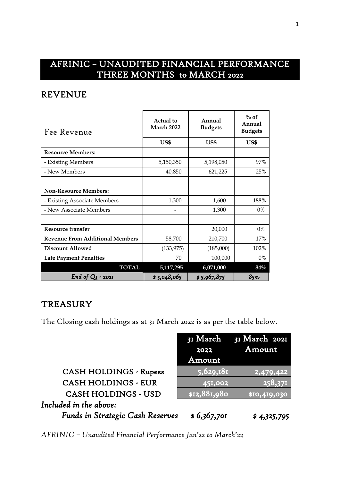## AFRINIC – UNAUDITED FINANCIAL PERFORMANCE THREE MONTHS to MARCH 2022

## REVENUE

| Fee Revenue                            | <b>Actual</b> to<br><b>March 2022</b> | Annual<br><b>Budgets</b> | $\%$ of<br>Annual<br><b>Budgets</b> |  |
|----------------------------------------|---------------------------------------|--------------------------|-------------------------------------|--|
|                                        | US\$                                  | US\$                     | US\$                                |  |
| <b>Resource Members:</b>               |                                       |                          |                                     |  |
| - Existing Members                     | 5,150,350                             | 5,198,050                | 97%                                 |  |
| - New Members                          | 40,850                                | 621,225                  | 25%                                 |  |
|                                        |                                       |                          |                                     |  |
| <b>Non-Resource Members:</b>           |                                       |                          |                                     |  |
| - Existing Associate Members           | 1,300                                 | 1,600                    | 188%                                |  |
| - New Associate Members                |                                       | 1,300                    | $0\%$                               |  |
|                                        |                                       |                          |                                     |  |
| Resource transfer                      |                                       | 20,000                   | $0\%$                               |  |
| <b>Revenue From Additional Members</b> | 58,700                                | 210,700                  | 17%                                 |  |
| <b>Discount Allowed</b>                | (133, 975)                            | (185,000)                | 102%                                |  |
| <b>Late Payment Penalties</b>          | 70                                    | 100,000                  | $0\%$                               |  |
| <b>TOTAL</b>                           | 5,117,295                             | 6,071,000                | $84\%$                              |  |
| End of $QI - 202I$                     | \$5,048,065                           | \$5,967,875              | 85%                                 |  |

## **TREASURY**

The Closing cash holdings as at 31 March 2022 is as per the table below.

|                                  | 2022         | 31 March 31 March 2021<br>Amount |
|----------------------------------|--------------|----------------------------------|
|                                  | Amount       |                                  |
| <b>CASH HOLDINGS - Rupees</b>    | 5,629,181    | 2,479,422                        |
| <b>CASH HOLDINGS - EUR</b>       | 451,002      | 258,371                          |
| <b>CASH HOLDINGS - USD</b>       | \$12,881,980 | \$10,419,030                     |
| Included in the above:           |              |                                  |
| Funds in Strategic Cash Reserves | \$6,367,701  | \$4,325,795                      |

*AFRINIC – Unaudited Financial Performance Jan'22 to March'22*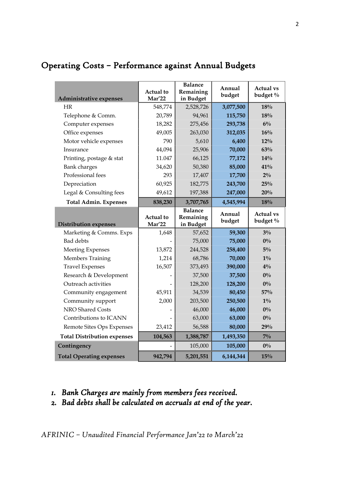| Administrative expenses            | Actual to<br>Mar'22 | <b>Balance</b><br>Remaining<br>in Budget | Annual<br>budget | <b>Actual vs</b><br>budget % |
|------------------------------------|---------------------|------------------------------------------|------------------|------------------------------|
| HR                                 | 548,774             | 2,528,726                                | 3,077,500        | 18%                          |
| Telephone & Comm.                  | 20,789              | 94,961                                   | 115,750          | 18%                          |
| Computer expenses                  | 18,282              | 275,456                                  | 293,738          | $6\%$                        |
| Office expenses                    | 49,005              | 263,030                                  | 312,035          | 16%                          |
| Motor vehicle expenses             | 790                 | 5,610                                    | 6,400            | 12%                          |
| Insurance                          | 44,094              | 25,906                                   | 70,000           | 63%                          |
| Printing, postage & stat           | 11.047              | 66,125                                   | 77,172           | 14%                          |
| <b>Bank</b> charges                | 34,620              | 50,380                                   | 85,000           | 41%                          |
| Professional fees                  | 293                 | 17,407                                   | 17,700           | $2\%$                        |
| Depreciation                       | 60,925              | 182,775                                  | 243,700          | 25%                          |
| Legal & Consulting fees            | 49,612              | 197,388                                  | 247,000          | 20%                          |
| <b>Total Admin. Expenses</b>       | 838,230             | 3,707,765                                | 4,545,994        | 18%                          |
|                                    | Actual to           | <b>Balance</b><br>Remaining              | Annual<br>budget | <b>Actual vs</b><br>budget % |
| <b>Distribution expenses</b>       | <b>Mar'22</b>       | in Budget                                |                  |                              |
| Marketing & Comms. Exps            | 1,648               | 57,652                                   | 59,300           | $3\%$                        |
| <b>Bad</b> debts                   |                     | 75,000                                   | 75,000           | $0\%$                        |
| <b>Meeting Expenses</b>            | 13,872              | 244,528                                  | 258,400          | $5\%$                        |
| Members Training                   | 1,214               | 68,786                                   | 70,000           | $1\%$                        |
| <b>Travel Expenses</b>             | 16,507              | 373,493                                  | 390,000          | $4\%$                        |
| Research & Development             |                     | 37,500                                   | 37,500           | $0\%$                        |
| Outreach activities                |                     | 128,200                                  | 128,200          | $0\%$                        |
| Community engagement               | 45,911              | 34,539                                   | 80,450           | 57%                          |
| Community support                  | 2,000               | 203,500                                  | 250,500          | $1\%$                        |
| NRO Shared Costs                   |                     | 46,000                                   | 46,000           | $0\%$                        |
| Contributions to ICANN             |                     | 63,000                                   | 63,000           | $0\%$                        |
| Remote Sites Ops Expenses          | 23,412              | 56,588                                   | 80,000           | 29%                          |
| <b>Total Distribution expenses</b> | 104,563             | 1,388,787                                | 1,493,350        | $7\%$                        |
| Contingency                        |                     | 105,000                                  | 105,000          | $0\%$                        |

# Operating Costs – Performance against Annual Budgets

- *1. Bank Charges are mainly from members fees received.*
- *2. Bad debts shall be calculated on accruals at end of the year.*

*AFRINIC – Unaudited Financial Performance Jan'22 to March'22*